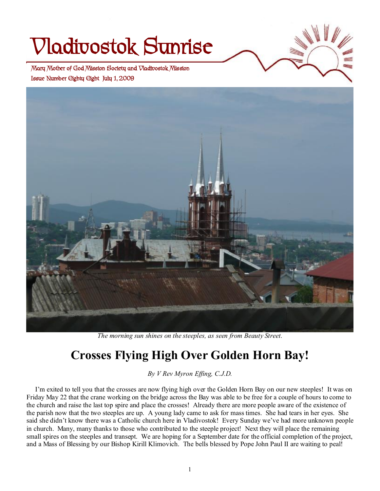# **Vladivostok Sunrise**

 **Issue Number Eighty Eight July 1, 2009 Mary Mother of God Mission Society and Vladivostok Mission** 



*The morning sun shines on the steeples, as seen from Beauty Street.* 

# **Crosses Flying High Over Golden Horn Bay!**

*By V Rev Myron Effing, C.J.D.* 

 I'm exited to tell you that the crosses are now flying high over the Golden Horn Bay on our new steeples! It was on Friday May 22 that the crane working on the bridge across the Bay was able to be free for a couple of hours to come to the church and raise the last top spire and place the crosses! Already there are more people aware of the existence of the parish now that the two steeples are up. A young lady came to ask for mass times. She had tears in her eyes. She said she didn't know there was a Catholic church here in Vladivostok! Every Sunday we've had more unknown people in church. Many, many thanks to those who contributed to the steeple project! Next they will place the remaining small spires on the steeples and transept. We are hoping for a September date for the official completion of the project, and a Mass of Blessing by our Bishop Kirill Klimovich. The bells blessed by Pope John Paul II are waiting to peal!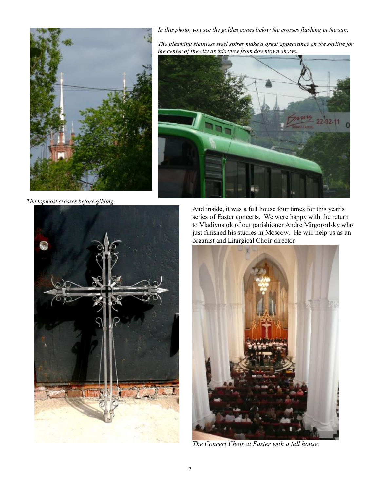

*The topmost crosses before gilding.* 



*In this photo, you see the golden cones below the crosses flashing in the sun.* 

*The gleaming stainless steel spires make a great appearance on the skyline for the center of the city as this view from downtown shows.* 



And inside, it was a full house four times for this year's series of Easter concerts. We were happy with the return to Vladivostok of our parishioner Andre Mirgorodsky who just finished his studies in Moscow. He will help us as an organist and Liturgical Choir director



*The Concert Choir at Easter with a full house.*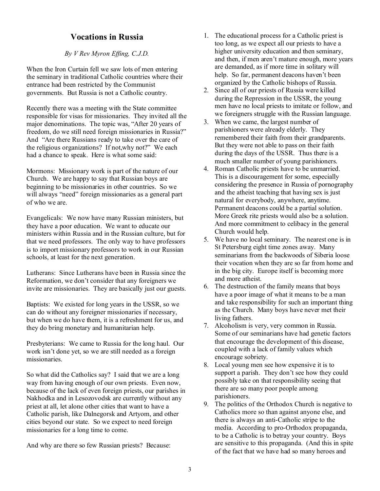## **Vocations in Russia**

#### *By V Rev Myron Effing, C.J.D.*

When the Iron Curtain fell we saw lots of men entering the seminary in traditional Catholic countries where their entrance had been restricted by the Communist governments. But Russia is not a Catholic country.

Recently there was a meeting with the State committee responsible for visas for missionaries. They invited all the major denominations. The topic was, "After 20 years of freedom, do we still need foreign missionaries in Russia?" And "Are there Russians ready to take over the care of the religious organizations? If not,why not?" We each had a chance to speak. Here is what some said:

Mormons: Missionary work is part of the nature of our Church. We are happy to say that Russian boys are beginning to be missionaries in other countries. So we will always "need" foreign missionaries as a general part of who we are.

Evangelicals: We now have many Russian ministers, but they have a poor education. We want to educate our ministers within Russia and in the Russian culture, but for that we need professors. The only way to have professors is to import missionary professors to work in our Russian schools, at least for the next generation.

Lutherans: Since Lutherans have been in Russia since the Reformation, we don't consider that any foreigners we invite are missionaries. They are basically just our guests.

Baptists: We existed for long years in the USSR, so we can do without any foreigner missionaries if necessary, but when we do have them, it is a refreshment for us, and they do bring monetary and humanitarian help.

Presbyterians: We came to Russia for the long haul. Our work isn't done yet, so we are still needed as a foreign missionaries.

So what did the Catholics say? I said that we are a long way from having enough of our own priests. Even now, because of the lack of even foreign priests, our parishes in Nakhodka and in Lesozovodsk are currently without any priest at all, let alone other cities that want to have a Catholic parish, like Dalnegorsk and Artyom, and other cities beyond our state. So we expect to need foreign missionaries for a long time to come.

And why are there so few Russian priests? Because:

- 1. The educational process for a Catholic priest is too long, as we expect all our priests to have a higher university education and then seminary, and then, if men aren't mature enough, more years are demanded, as if more time in solitary will help. So far, permanent deacons haven't been organized by the Catholic bishops of Russia.
- 2. Since all of our priests of Russia were killed during the Repression in the USSR, the young men have no local priests to imitate or follow, and we foreigners struggle with the Russian language.
- 3. When we came, the largest number of parishioners were already elderly. They remembered their faith from their grandparents. But they were not able to pass on their faith during the days of the USSR. Thus there is a much smaller number of young parishioners.
- 4. Roman Catholic priests have to be unmarried. This is a discouragement for some, especially considering the presence in Russia of pornography and the atheist teaching that having sex is just natural for everybody, anywhere, anytime. Permanent deacons could be a partial solution. More Greek rite priests would also be a solution. And more commitment to celibacy in the general Church would help.
- 5. We have no local seminary. The nearest one is in St Petersburg eight time zones away. Many seminarians from the backwoods of Siberia loose their vocation when they are so far from home and in the big city. Europe itself is becoming more and more atheist.
- 6. The destruction of the family means that boys have a poor image of what it means to be a man and take responsibility for such an important thing as the Church. Many boys have never met their living fathers.
- 7. Alcoholism is very, very common in Russia. Some of our seminarians have had genetic factors that encourage the development of this disease, coupled with a lack of family values which encourage sobriety.
- 8. Local young men see how expensive it is to support a parish. They don't see how they could possibly take on that responsibility seeing that there are so many poor people among parishioners.
- 9. The politics of the Orthodox Church is negative to Catholics more so than against anyone else, and there is always an anti-Catholic stripe to the media. According to pro-Orthodox propaganda, to be a Catholic is to betray your country. Boys are sensitive to this propaganda. (And this in spite of the fact that we have had so many heroes and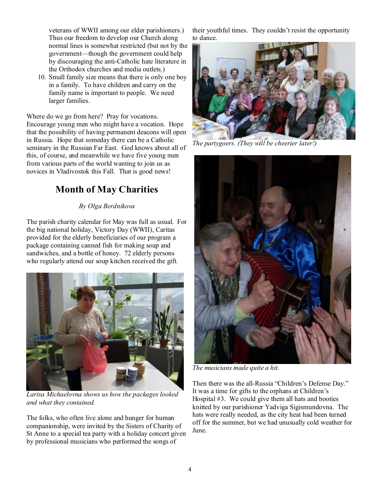veterans of WWII among our elder parishioners.) Thus our freedom to develop our Church along normal lines is somewhat restricted (but not by the government—though the government could help by discouraging the anti-Catholic hate literature in the Orthodox churches and media outlets.)

10. Small family size means that there is only one boy in a family. To have children and carry on the family name is important to people. We need larger families.

Where do we go from here? Pray for vocations. Encourage young men who might have a vocation. Hope that the possibility of having permanent deacons will open in Russia. Hope that someday there can be a Catholic seminary in the Russian Far East. God knows about all of this, of course, and meanwhile we have five young men from various parts of the world wanting to join us as novices in Vladivostok this Fall. That is good news!

## **Month of May Charities**

#### *By Olga Berdnikova*

The parish charity calendar for May was full as usual. For the big national holiday, Victory Day (WWII), Caritas provided for the elderly beneficiaries of our program a package containing canned fish for making soup and sandwiches, and a bottle of honey. 72 elderly persons who regularly attend our soup kitchen received the gift.



*Larisa Michaelovna shows us how the packages looked and what they contained.* 

The folks, who often live alone and hunger for human companionship, were invited by the Sisters of Charity of St Anne to a special tea party with a holiday concert given by professional musicians who performed the songs of

their youthful times. They couldn't resist the opportunity to dance.



*The partygoers. (They will be cheerier later!)* 



*The musicians made quite a hit.* 

Then there was the all-Russia "Children's Defense Day." It was a time for gifts to the orphans at Children's Hospital #3. We could give them all hats and booties knitted by our parishioner Yadviga Sigismundovna. The hats were really needed, as the city heat had been turned off for the summer, but we had unusually cold weather for June.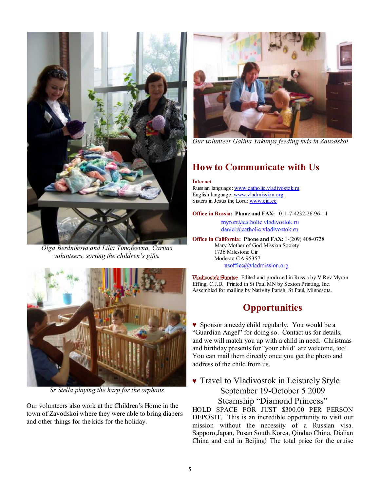

*Olga Berdnikova and Lilia Timofeevna, Caritas volunteers, sorting the children's gifts.* 



*Sr Stella playing the harp for the orphans* 

Our volunteers also work at the Children's Home in the town of Zavodskoi where they were able to bring diapers and other things for the kids for the holiday.



*Our volunteer Galina Yakunya feeding kids in Zavodskoi*

## **How to Communicate with Us**

**Internet**

Russian language: [www.catholic.vladivostok.ru](http://www.catholic.vladivostok.ru) English language: [www.vladmission.org](http://www.vladmission.org) Sisters in Jesus the Lord: [www.cjd.cc](http://www.cjd.cc)

**Office in Russia: Phone and FAX:** 011-7-4232-26-96-14

myron@catholic.vladivostok.ru daniel@eatholic.vladivostok.ru

**Office in California: Phone and FAX:** 1-(209) 408-0728 Mary Mother of God Mission Society

1736 Milestone Cir Modesto CA 95357 usoffice@vladmission.org

**Vladivostok Sunrise** Edited and produced in Russia by V Rev Myron Effing, C.J.D. Printed in St Paul MN by Sexton Printing, Inc. Assembled for mailing by Nativity Parish, St Paul, Minnesota.

## **Opportunities**

♥ Sponsor a needy child regularly. You would be a "Guardian Angel" for doing so. Contact us for details, and we will match you up with a child in need. Christmas and birthday presents for "your child" are welcome, too! You can mail them directly once you get the photo and address of the child from us.

♥ Travel to Vladivostok in Leisurely Style September 19-October 5 2009 Steamship "Diamond Princess"

HOLD SPACE FOR JUST \$300.00 PER PERSON DEPOSIT. This is an incredible opportunity to visit our mission without the necessity of a Russian visa. Sapporo,Japan, Pusan South.Korea, Qindao China, Dialian China and end in Beijing! The total price for the cruise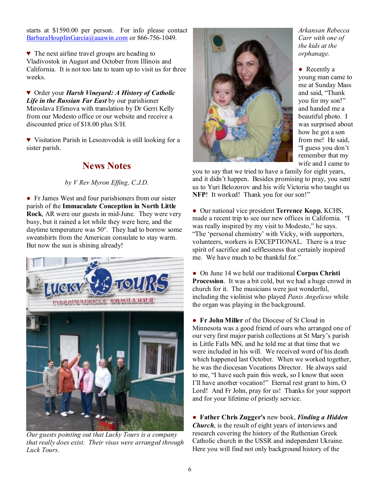starts at \$1590.00 per person. For info please contact [BarbaraHouplinGarcia@aaawin.com](mailto:BarbaraHouplinGarcia@aaawin.com) or 866-756-1049.

♥ The next airline travel groups are heading to Vladivostok in August and October from Illinois and California. It is not too late to team up to visit us for three weeks.

♥ Order your *Harsh Vineyard: A History of Catholic Life in the Russian Far East* by our parishioner Miroslava Efimova with translation by Dr Gerri Kelly from our Modesto office or our website and receive a discounted price of \$18.00 plus S/H.

♥ Visitation Parish in Lesozovodsk is still looking for a sister parish.

## **News Notes**

#### *by V Rev Myron Effing, C.J.D.*

• Fr James West and four parishioners from our sister parish of the **Immaculate Conception in North Little Rock**, AR were our guests in mid-June. They were very busy, but it rained a lot while they were here, and the daytime temperature was 50°. They had to borrow some sweatshirts from the American consulate to stay warm. But now the sun is shining already!



*Our guests pointing out that Lucky Tours is a company that really does exist. Their visas were arranged through Luck Tours.* 



*Arkansan Rebecca Carr with one of the kids at the orphanage.* 

• Recently a young man came to me at Sunday Mass and said, "Thank you for my son!" and handed me a beautiful photo. I was surprised about how he got a son from me! He said, "I guess you don't remember that my wife and I came to

you to say that we tried to have a family for eight years, and it didn't happen. Besides promising to pray, you sent us to Yuri Belozorov and his wife Victoria who taught us **NFP**! It worked! Thank you for our son!"

● Our national vice president **Terrence Kopp**, KCHS, made a recent trip to see our new offices in California. "I was really inspired by my visit to Modesto," he says. "The 'personal chemistry' with Vicky, with supporters, volunteers, workers is EXCEPTIONAL. There is a true spirit of sacrifice and selflessness that certainly inspired me. We have much to be thankful for."

● On June 14 we held our traditional **Corpus Christi Procession**. It was a bit cold, but we had a huge crowd in church for it. The musicians were just wonderful, including the violinist who played *Panis Angelicus* while the organ was playing in the background.

● **Fr John Miller** of the Diocese of St Cloud in Minnesota was a good friend of ours who arranged one of our very first major parish collections at St Mary's parish in Little Falls MN, and he told me at that time that we were included in his will. We received word of his death which happened last October. When we worked together, he was the diocesan Vocations Director. He always said to me, "I have such pain this week, so I know that soon I'll have another vocation!" Eternal rest grant to him, O Lord! And Fr John, pray for us! Thanks for your support and for your lifetime of priestly service.

● **Father Chris Zugger's** new book, *Finding a Hidden Church*, is the result of eight years of interviews and research covering the history of the Ruthenian Greek Catholic church in the USSR and independent Ukraine. Here you will find not only background history of the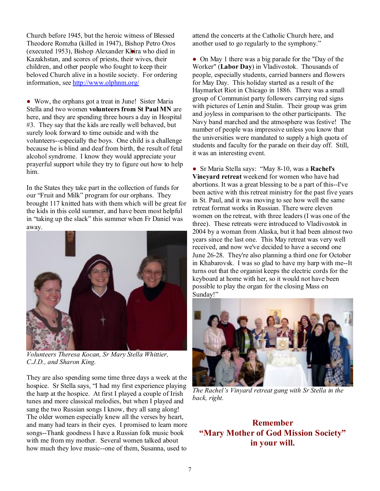Church before 1945, but the heroic witness of Blessed Theodore Romzha (killed in 1947), Bishop Petro Oros (executed 1953), Bishop Alexander Kleira who died in Kazakhstan, and scores of priests, their wives, their children, and other people who fought to keep their beloved Church alive in a hostile society. For ordering information, see<http://www.olphnm.org/>

• Wow, the orphans got a treat in June! Sister Maria Stella and two women **volunteers from St Paul MN** are here, and they are spending three hours a day in Hospital #3. They say that the kids are really well behaved, but surely look forward to time outside and with the volunteers--especially the boys. One child is a challenge because he is blind and deaf from birth, the result of fetal alcohol syndrome. I know they would appreciate your prayerful support while they try to figure out how to help him.

In the States they take part in the collection of funds for our "Fruit and Milk" program for our orphans. They brought 117 knitted hats with them which will be great for the kids in this cold summer, and have been most helpful in "taking up the slack" this summer when Fr Daniel was away.



*Volunteers Theresa Kocan, Sr Mary Stella Whittier, C.J.D., and Sharon King.* 

They are also spending some time three days a week at the hospice. Sr Stella says, "I had my first experience playing the harp at the hospice. At first I played a couple of Irish tunes and more classical melodies, but when I played and sang the two Russian songs I know, they all sang along! The older women especially knew all the verses by heart, and many had tears in their eyes. I promised to learn more songs--Thank goodness I have a Russian folk music book with me from my mother. Several women talked about how much they love music--one of them, Susanna, used to

attend the concerts at the Catholic Church here, and another used to go regularly to the symphony."

• On May 1 there was a big parade for the "Day of the Worker" (**Labor Day**) in Vladivostok. Thousands of people, especially students, carried banners and flowers for May Day. This holiday started as a result of the Haymarket Riot in Chicago in 1886. There was a small group of Communist party followers carrying red signs with pictures of Lenin and Stalin. Their group was grim and joyless in comparison to the other participants. The Navy band marched and the atmosphere was festive! The number of people was impressive unless you know that the universities were mandated to supply a high quota of students and faculty for the parade on their day off. Still, it was an interesting event.

● Sr Maria Stella says: "May 8-10, was a **Rachel's Vineyard retreat** weekend for women who have had abortions. It was a great blessing to be a part of this--I've been active with this retreat ministry for the past five years in St. Paul, and it was moving to see how well the same retreat format works in Russian. There were eleven women on the retreat, with three leaders (I was one of the three). These retreats were introduced to Vladivostok in 2004 by a woman from Alaska, but it had been almost two years since the last one. This May retreat was very well received, and now we've decided to have a second one June 26-28. They're also planning a third one for October in Khabarovsk. I was so glad to have my harp with me--It turns out that the organist keeps the electric cords for the keyboard at home with her, so it would not have been possible to play the organ for the closing Mass on Sunday!"



*The Rachel's Vinyard retreat gang with Sr Stella in the back, right.* 

## **Remember "Mary Mother of God Mission Society" in your will.**